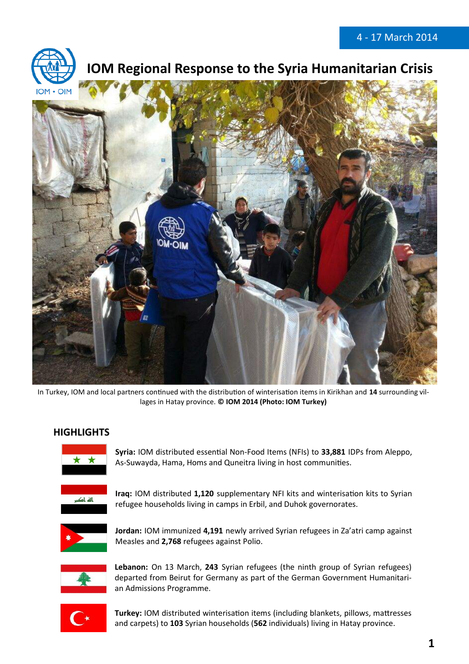

# **10M Regional Response to the Syria Humanitarian Crisis**



In Turkey, IOM and local partners continued with the distribution of winterisation items in Kirikhan and **14** surrounding villages in Hatay province. **© IOM 2014 (Photo: IOM Turkey)** 

## **HIGHLIGHTS**



**Syria:** IOM distributed essential Non-Food Items (NFIs) to **33,881** IDPs from Aleppo, As-Suwayda, Hama, Homs and Quneitra living in host communities.



**Iraq:** IOM distributed **1,120** supplementary NFI kits and winterisation kits to Syrian refugee households living in camps in Erbil, and Duhok governorates.



**Jordan:** IOM immunized **4,191** newly arrived Syrian refugees in Za'atri camp against Measles and **2,768** refugees against Polio.



**Lebanon:** On 13 March, **243** Syrian refugees (the ninth group of Syrian refugees) departed from Beirut for Germany as part of the German Government Humanitarian Admissions Programme.



**Turkey:** IOM distributed winterisation items (including blankets, pillows, mattresses and carpets) to **103** Syrian households (**562** individuals) living in Hatay province.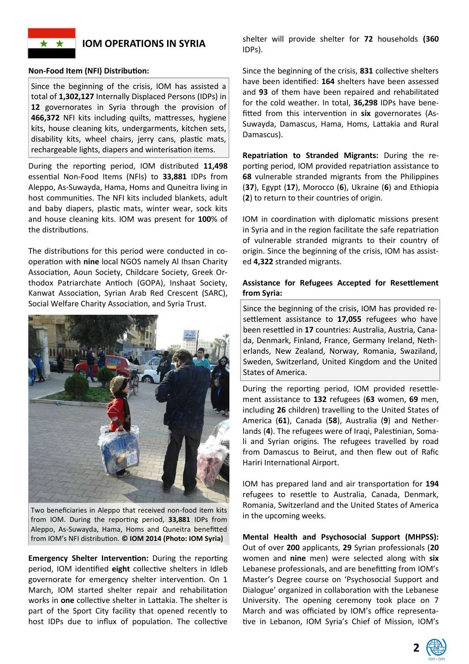

## **IOM OPERATIONS IN SYRIA**

#### **Non-Food Item (NFI) Distribution:**

Since the beginning of the crisis, IOM has assisted a total of **1,302,127** Internally Displaced Persons (IDPs) in **12** governorates in Syria through the provision of **466,372** NFI kits including quilts, mattresses, hygiene kits, house cleaning kits, undergarments, kitchen sets, disability kits, wheel chairs, jerry cans, plastic mats, rechargeable lights, diapers and winterisation items.

During the reporting period, IOM distributed **11,498** essential Non-Food Items (NFIs) to **33,881** IDPs from Aleppo, As-Suwayda, Hama, Homs and Quneitra living in host communities. The NFI kits included blankets, adult and baby diapers, plastic mats, winter wear, sock kits and house cleaning kits. IOM was present for **100**% of the distributions.

The distributions for this period were conducted in cooperation with **nine** local NGOS namely Al Ihsan Charity Association, Aoun Society, Childcare Society, Greek Orthodox Patriarchate Antioch (GOPA), Inshaat Society, Kanwat Association, Syrian Arab Red Crescent (SARC), Social Welfare Charity Association, and Syria Trust.



Two beneficiaries in Aleppo that received non-food item kits from IOM. During the reporting period, **33,881** IDPs from Aleppo, As-Suwayda, Hama, Homs and Quneitra benefitted from IOM's NFI distribution. **© IOM 2014 (Photo: IOM Syria)**

**Emergency Shelter Intervention:** During the reporting period, IOM identified **eight** collective shelters in Idleb governorate for emergency shelter intervention. On 1 March, IOM started shelter repair and rehabilitation works in **one** collective shelter in Lattakia. The shelter is part of the Sport City facility that opened recently to host IDPs due to influx of population. The collective

shelter will provide shelter for **72** households **(360** IDPs).

Since the beginning of the crisis, **831** collective shelters have been identified: **164** shelters have been assessed and **93** of them have been repaired and rehabilitated for the cold weather. In total, **36,298** IDPs have benefitted from this intervention in **six** governorates (As-Suwayda, Damascus, Hama, Homs, Lattakia and Rural Damascus).

**Repatriation to Stranded Migrants:** During the reporting period, IOM provided repatriation assistance to **68** vulnerable stranded migrants from the Philippines (**37**), Egypt (**17**), Morocco (**6**), Ukraine (**6**) and Ethiopia (**2**) to return to their countries of origin.

IOM in coordination with diplomatic missions present in Syria and in the region facilitate the safe repatriation of vulnerable stranded migrants to their country of origin. Since the beginning of the crisis, IOM has assisted **4,322** stranded migrants.

## **Assistance for Refugees Accepted for Resettlement from Syria:**

Since the beginning of the crisis, IOM has provided resettlement assistance to **17,055** refugees who have been resettled in **17** countries: Australia, Austria, Canada, Denmark, Finland, France, Germany Ireland, Netherlands, New Zealand, Norway, Romania, Swaziland, Sweden, Switzerland, United Kingdom and the United States of America.

During the reporting period, IOM provided resettlement assistance to **132** refugees (**63** women, **69** men, including **26** children) travelling to the United States of America (**61**), Canada (**58**), Australia (**9**) and Netherlands (**4**). The refugees were of Iraqi, Palestinian, Somali and Syrian origins. The refugees travelled by road from Damascus to Beirut, and then flew out of Rafic Hariri International Airport.

IOM has prepared land and air transportation for **194** refugees to resettle to Australia, Canada, Denmark, Romania, Switzerland and the United States of America in the upcoming weeks.

**Mental Health and Psychosocial Support (MHPSS):** Out of over **200** applicants, **29** Syrian professionals (**20** women and **nine** men) were selected along with **six** Lebanese professionals, and are benefitting from IOM's Master's Degree course on 'Psychosocial Support and Dialogue' organized in collaboration with the Lebanese University. The opening ceremony took place on 7 March and was officiated by IOM's office representative in Lebanon, IOM Syria's Chief of Mission, IOM's

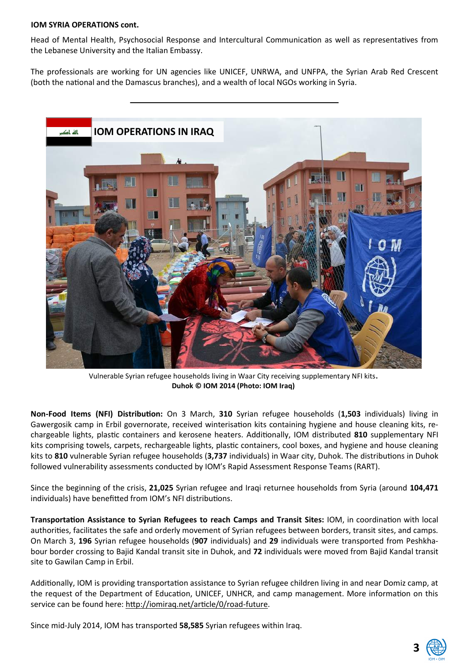### **IOM SYRIA OPERATIONS cont.**

Head of Mental Health, Psychosocial Response and Intercultural Communication as well as representatives from the Lebanese University and the Italian Embassy.

The professionals are working for UN agencies like UNICEF, UNRWA, and UNFPA, the Syrian Arab Red Crescent (both the national and the Damascus branches), and a wealth of local NGOs working in Syria.



Vulnerable Syrian refugee households living in Waar City receiving supplementary NFI kits**. Duhok © IOM 2014 (Photo: IOM Iraq)**

**Non-Food Items (NFI) Distribution:** On 3 March, **310** Syrian refugee households (**1,503** individuals) living in Gawergosik camp in Erbil governorate, received winterisation kits containing hygiene and house cleaning kits, rechargeable lights, plastic containers and kerosene heaters. Additionally, IOM distributed **810** supplementary NFI kits comprising towels, carpets, rechargeable lights, plastic containers, cool boxes, and hygiene and house cleaning kits to **810** vulnerable Syrian refugee households (**3,737** individuals) in Waar city, Duhok. The distributions in Duhok followed vulnerability assessments conducted by IOM's Rapid Assessment Response Teams (RART).

Since the beginning of the crisis, **21,025** Syrian refugee and Iraqi returnee households from Syria (around **104,471** individuals) have benefitted from IOM's NFI distributions.

**Transportation Assistance to Syrian Refugees to reach Camps and Transit Sites:** IOM, in coordination with local authorities, facilitates the safe and orderly movement of Syrian refugees between borders, transit sites, and camps. On March 3, **196** Syrian refugee households (**907** individuals) and **29** individuals were transported from Peshkhabour border crossing to Bajid Kandal transit site in Duhok, and **72** individuals were moved from Bajid Kandal transit site to Gawilan Camp in Erbil.

Additionally, IOM is providing transportation assistance to Syrian refugee children living in and near Domiz camp, at the request of the Department of Education, UNICEF, UNHCR, and camp management. More information on this service can be found here: http://iomiraq.net/article/0/road-future.

Since mid-July 2014, IOM has transported **58,585** Syrian refugees within Iraq.

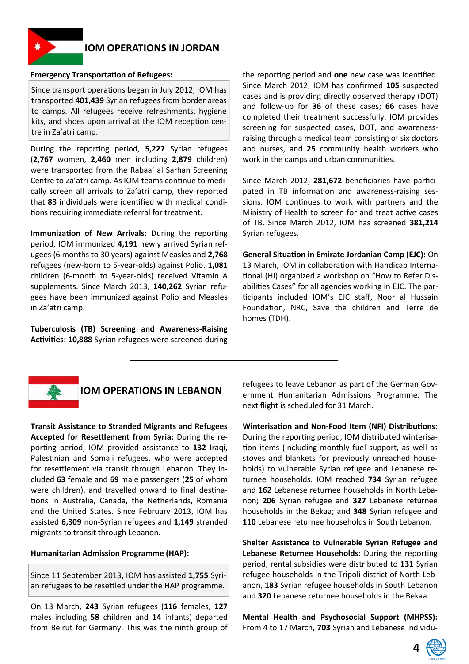

## **IOM OPERATIONS IN JORDAN**

#### **Emergency Transportation of Refugees:**

Since transport operations began in July 2012, IOM has transported **401,439** Syrian refugees from border areas to camps. All refugees receive refreshments, hygiene kits, and shoes upon arrival at the IOM reception centre in Za'atri camp.

During the reporting period, **5,227** Syrian refugees (**2,767** women, **2,460** men including **2,879** children) were transported from the Rabaa' al Sarhan Screening Centre to Za'atri camp. As IOM teams continue to medically screen all arrivals to Za'atri camp, they reported that **83** individuals were identified with medical conditions requiring immediate referral for treatment.

**Immunization of New Arrivals:** During the reporting period, IOM immunized **4,191** newly arrived Syrian refugees (6 months to 30 years) against Measles and **2,768**  refugees (new-born to 5-year-olds) against Polio. **1,081**  children (6-month to 5-year-olds) received Vitamin A supplements. Since March 2013, **140,262** Syrian refugees have been immunized against Polio and Measles in Za'atri camp.

**Tuberculosis (TB) Screening and Awareness-Raising Activities: 10,888** Syrian refugees were screened during the reporting period and **one** new case was identified. Since March 2012, IOM has confirmed **105** suspected cases and is providing directly observed therapy (DOT) and follow-up for **36** of these cases; **66** cases have completed their treatment successfully. IOM provides screening for suspected cases, DOT, and awarenessraising through a medical team consisting of six doctors and nurses, and **25** community health workers who work in the camps and urban communities.

Since March 2012, **281,672** beneficiaries have participated in TB information and awareness-raising sessions. IOM continues to work with partners and the Ministry of Health to screen for and treat active cases of TB. Since March 2012, IOM has screened **381,214**  Syrian refugees.

**General Situation in Emirate Jordanian Camp (EJC):** On 13 March, IOM in collaboration with Handicap International (HI) organized a workshop on "How to Refer Disabilities Cases" for all agencies working in EJC. The participants included IOM's EJC staff, Noor al Hussain Foundation, NRC, Save the children and Terre de homes (TDH).



## **IOM OPERATIONS IN LEBANON**

**Transit Assistance to Stranded Migrants and Refugees Accepted for Resettlement from Syria:** During the reporting period, IOM provided assistance to **132** Iraqi, Palestinian and Somali refugees, who were accepted for resettlement via transit through Lebanon. They included **63** female and **69** male passengers (**25** of whom were children), and travelled onward to final destinations in Australia, Canada, the Netherlands, Romania and the United States. Since February 2013, IOM has assisted **6,309** non-Syrian refugees and **1,149** stranded migrants to transit through Lebanon.

### **Humanitarian Admission Programme (HAP):**

Since 11 September 2013, IOM has assisted **1,755** Syrian refugees to be resettled under the HAP programme.

On 13 March, **243** Syrian refugees (**116** females, **127**  males including **58** children and **14** infants) departed from Beirut for Germany. This was the ninth group of refugees to leave Lebanon as part of the German Government Humanitarian Admissions Programme. The next flight is scheduled for 31 March.

**Winterisation and Non-Food Item (NFI) Distributions:**  During the reporting period, IOM distributed winterisation items (including monthly fuel support, as well as stoves and blankets for previously unreached households) to vulnerable Syrian refugee and Lebanese returnee households. IOM reached **734** Syrian refugee and **162** Lebanese returnee households in North Lebanon; **206** Syrian refugee and **327** Lebanese returnee households in the Bekaa; and **348** Syrian refugee and **110** Lebanese returnee households in South Lebanon.

**Shelter Assistance to Vulnerable Syrian Refugee and Lebanese Returnee Households:** During the reporting period, rental subsidies were distributed to **131** Syrian refugee households in the Tripoli district of North Lebanon, **183** Syrian refugee households in South Lebanon and **320** Lebanese returnee households in the Bekaa.

**Mental Health and Psychosocial Support (MHPSS):**  From 4 to 17 March, **703** Syrian and Lebanese individu-

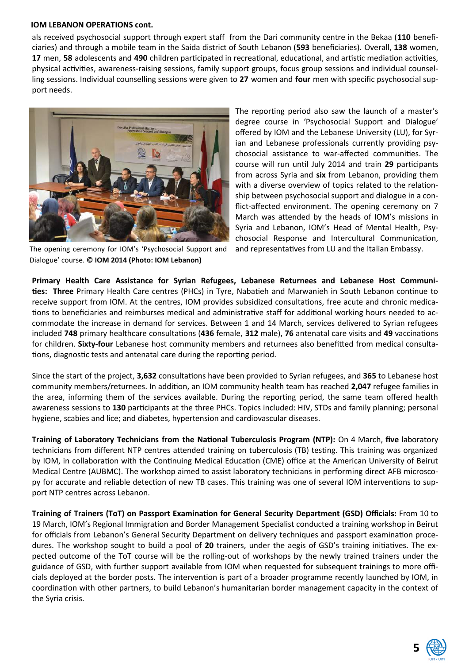#### **IOM LEBANON OPERATIONS cont.**

als received psychosocial support through expert staff from the Dari community centre in the Bekaa (**110** beneficiaries) and through a mobile team in the Saida district of South Lebanon (**593** beneficiaries). Overall, **138** women, **17** men, **58** adolescents and **490** children participated in recreational, educational, and artistic mediation activities, physical activities, awareness-raising sessions, family support groups, focus group sessions and individual counselling sessions. Individual counselling sessions were given to **27** women and **four** men with specific psychosocial support needs.



The opening ceremony for IOM's 'Psychosocial Support and Dialogue' course. **© IOM 2014 (Photo: IOM Lebanon)**

The reporting period also saw the launch of a master's degree course in 'Psychosocial Support and Dialogue' offered by IOM and the Lebanese University (LU), for Syrian and Lebanese professionals currently providing psychosocial assistance to war-affected communities. The course will run until July 2014 and train **29** participants from across Syria and **six** from Lebanon, providing them with a diverse overview of topics related to the relationship between psychosocial support and dialogue in a conflict-affected environment. The opening ceremony on 7 March was attended by the heads of IOM's missions in Syria and Lebanon, IOM's Head of Mental Health, Psychosocial Response and Intercultural Communication,

and representatives from LU and the Italian Embassy.

**Primary Health Care Assistance for Syrian Refugees, Lebanese Returnees and Lebanese Host Communities: Three** Primary Health Care centres (PHCs) in Tyre, Nabatieh and Marwanieh in South Lebanon continue to receive support from IOM. At the centres, IOM provides subsidized consultations, free acute and chronic medications to beneficiaries and reimburses medical and administrative staff for additional working hours needed to accommodate the increase in demand for services. Between 1 and 14 March, services delivered to Syrian refugees included **748** primary healthcare consultations (**436** female, **312** male), **76** antenatal care visits and **49** vaccinations for children. **Sixty-four** Lebanese host community members and returnees also benefitted from medical consultations, diagnostic tests and antenatal care during the reporting period.

Since the start of the project, **3,632** consultations have been provided to Syrian refugees, and **365** to Lebanese host community members/returnees. In addition, an IOM community health team has reached **2,047** refugee families in the area, informing them of the services available. During the reporting period, the same team offered health awareness sessions to **130** participants at the three PHCs. Topics included: HIV, STDs and family planning; personal hygiene, scabies and lice; and diabetes, hypertension and cardiovascular diseases.

**Training of Laboratory Technicians from the National Tuberculosis Program (NTP):** On 4 March, **five** laboratory technicians from different NTP centres attended training on tuberculosis (TB) testing. This training was organized by IOM, in collaboration with the Continuing Medical Education (CME) office at the American University of Beirut Medical Centre (AUBMC). The workshop aimed to assist laboratory technicians in performing direct AFB microscopy for accurate and reliable detection of new TB cases. This training was one of several IOM interventions to support NTP centres across Lebanon.

**Training of Trainers (ToT) on Passport Examination for General Security Department (GSD) Officials:** From 10 to 19 March, IOM's Regional Immigration and Border Management Specialist conducted a training workshop in Beirut for officials from Lebanon's General Security Department on delivery techniques and passport examination procedures. The workshop sought to build a pool of **20** trainers, under the aegis of GSD's training initiatives. The expected outcome of the ToT course will be the rolling-out of workshops by the newly trained trainers under the guidance of GSD, with further support available from IOM when requested for subsequent trainings to more officials deployed at the border posts. The intervention is part of a broader programme recently launched by IOM, in coordination with other partners, to build Lebanon's humanitarian border management capacity in the context of the Syria crisis.

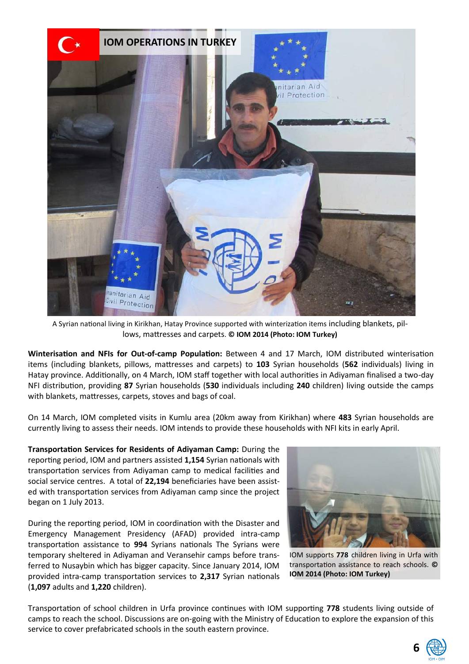

A Syrian national living in Kirikhan, Hatay Province supported with winterization items including blankets, pillows, mattresses and carpets. **© IOM 2014 (Photo: IOM Turkey)**

**Winterisation and NFIs for Out-of-camp Population:** Between 4 and 17 March, IOM distributed winterisation items (including blankets, pillows, mattresses and carpets) to **103** Syrian households (**562** individuals) living in Hatay province. Additionally, on 4 March, IOM staff together with local authorities in Adiyaman finalised a two-day NFI distribution, providing **87** Syrian households (**530** individuals including **240** children) living outside the camps with blankets, mattresses, carpets, stoves and bags of coal.

On 14 March, IOM completed visits in Kumlu area (20km away from Kirikhan) where **483** Syrian households are currently living to assess their needs. IOM intends to provide these households with NFI kits in early April.

**Transportation Services for Residents of Adiyaman Camp:** During the reporting period, IOM and partners assisted **1,154** Syrian nationals with transportation services from Adiyaman camp to medical facilities and social service centres. A total of **22,194** beneficiaries have been assisted with transportation services from Adiyaman camp since the project began on 1 July 2013.

During the reporting period, IOM in coordination with the Disaster and Emergency Management Presidency (AFAD) provided intra-camp transportation assistance to **994** Syrians nationals The Syrians were temporary sheltered in Adiyaman and Veransehir camps before transferred to Nusaybin which has bigger capacity. Since January 2014, IOM provided intra-camp transportation services to **2,317** Syrian nationals (**1,097** adults and **1,220** children).



IOM supports **778** children living in Urfa with transportation assistance to reach schools. **© IOM 2014 (Photo: IOM Turkey)**

Transportation of school children in Urfa province continues with IOM supporting **778** students living outside of camps to reach the school. Discussions are on-going with the Ministry of Education to explore the expansion of this service to cover prefabricated schools in the south eastern province.